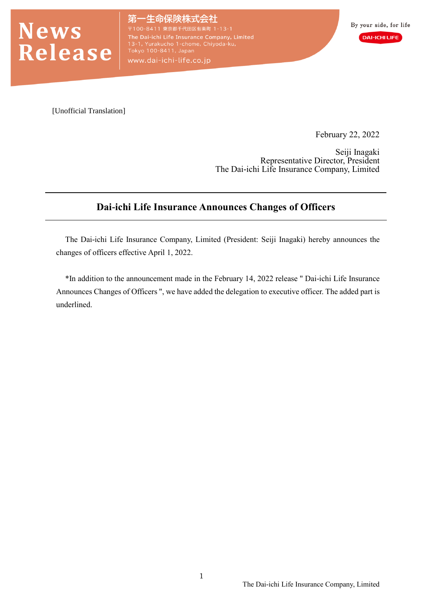

生命保険株式会社 The Dai-ichi Life Insurance Company, Limited<br>13-1, Yurakucho 1-chome, Chiyoda-ku,<br>Tokyo 100-8411, Japan www.dai-ichi-life.co.jp

[Unofficial Translation]

February 22, 2022

Seiji Inagaki Representative Director, President The Dai-ichi Life Insurance Company, Limited

# **Dai-ichi Life Insurance Announces Changes of Officers**

The Dai-ichi Life Insurance Company, Limited (President: Seiji Inagaki) hereby announces the changes of officers effective April 1, 2022.

\*In addition to the announcement made in the February 14, 2022 release " Dai-ichi Life Insurance Announces Changes of Officers ", we have added the delegation to executive officer. The added part is underlined.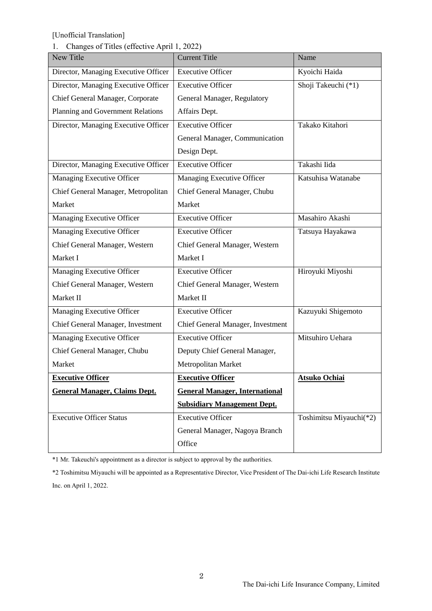### 1. Changes of Titles (effective April 1, 2022)

| New Title                            | <b>Current Title</b>                  | Name                    |
|--------------------------------------|---------------------------------------|-------------------------|
| Director, Managing Executive Officer | <b>Executive Officer</b>              | Kyoichi Haida           |
| Director, Managing Executive Officer | <b>Executive Officer</b>              | Shoji Takeuchi (*1)     |
| Chief General Manager, Corporate     | General Manager, Regulatory           |                         |
| Planning and Government Relations    | Affairs Dept.                         |                         |
| Director, Managing Executive Officer | <b>Executive Officer</b>              | Takako Kitahori         |
|                                      | General Manager, Communication        |                         |
|                                      | Design Dept.                          |                         |
| Director, Managing Executive Officer | <b>Executive Officer</b>              | Takashi Iida            |
| Managing Executive Officer           | Managing Executive Officer            | Katsuhisa Watanabe      |
| Chief General Manager, Metropolitan  | Chief General Manager, Chubu          |                         |
| Market                               | Market                                |                         |
| Managing Executive Officer           | <b>Executive Officer</b>              | Masahiro Akashi         |
| Managing Executive Officer           | <b>Executive Officer</b>              | Tatsuya Hayakawa        |
| Chief General Manager, Western       | Chief General Manager, Western        |                         |
| Market I                             | Market I                              |                         |
| Managing Executive Officer           | <b>Executive Officer</b>              | Hiroyuki Miyoshi        |
| Chief General Manager, Western       | Chief General Manager, Western        |                         |
| Market II                            | Market II                             |                         |
| Managing Executive Officer           | <b>Executive Officer</b>              | Kazuyuki Shigemoto      |
| Chief General Manager, Investment    | Chief General Manager, Investment     |                         |
| Managing Executive Officer           | <b>Executive Officer</b>              | Mitsuhiro Uehara        |
| Chief General Manager, Chubu         | Deputy Chief General Manager,         |                         |
| Market                               | Metropolitan Market                   |                         |
| <b>Executive Officer</b>             | <b>Executive Officer</b>              | <b>Atsuko Ochiai</b>    |
| <b>General Manager, Claims Dept.</b> | <b>General Manager, International</b> |                         |
|                                      | <b>Subsidiary Management Dept.</b>    |                         |
| <b>Executive Officer Status</b>      | <b>Executive Officer</b>              | Toshimitsu Miyauchi(*2) |
|                                      | General Manager, Nagoya Branch        |                         |
|                                      | Office                                |                         |

\*1 Mr. Takeuchi's appointment as a director is subject to approval by the authorities.

\*2 Toshimitsu Miyauchi will be appointed as a Representative Director, Vice President of The Dai-ichi Life Research Institute Inc. on April 1, 2022.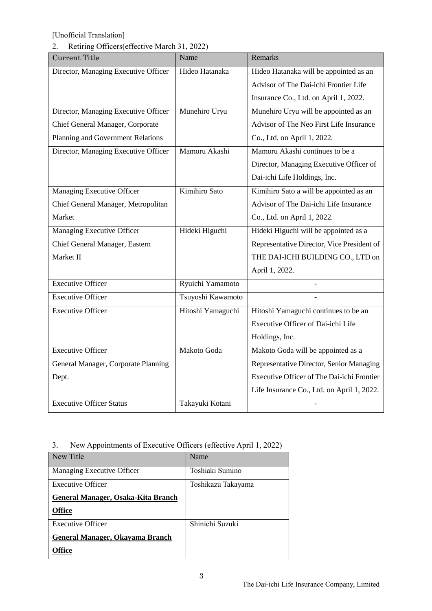# 2. Retiring Officers(effective March 31, 2022)

| <b>Current Title</b>                 | Name              | Remarks                                    |
|--------------------------------------|-------------------|--------------------------------------------|
| Director, Managing Executive Officer | Hideo Hatanaka    | Hideo Hatanaka will be appointed as an     |
|                                      |                   | Advisor of The Dai-ichi Frontier Life      |
|                                      |                   | Insurance Co., Ltd. on April 1, 2022.      |
| Director, Managing Executive Officer | Munehiro Uryu     | Munehiro Uryu will be appointed as an      |
| Chief General Manager, Corporate     |                   | Advisor of The Neo First Life Insurance    |
| Planning and Government Relations    |                   | Co., Ltd. on April 1, 2022.                |
| Director, Managing Executive Officer | Mamoru Akashi     | Mamoru Akashi continues to be a            |
|                                      |                   | Director, Managing Executive Officer of    |
|                                      |                   | Dai-ichi Life Holdings, Inc.               |
| Managing Executive Officer           | Kimihiro Sato     | Kimihiro Sato a will be appointed as an    |
| Chief General Manager, Metropolitan  |                   | Advisor of The Dai-ichi Life Insurance     |
| Market                               |                   | Co., Ltd. on April 1, 2022.                |
| Managing Executive Officer           | Hideki Higuchi    | Hideki Higuchi will be appointed as a      |
| Chief General Manager, Eastern       |                   | Representative Director, Vice President of |
| Market II                            |                   | THE DAI-ICHI BUILDING CO., LTD on          |
|                                      |                   | April 1, 2022.                             |
| <b>Executive Officer</b>             | Ryuichi Yamamoto  |                                            |
| <b>Executive Officer</b>             | Tsuyoshi Kawamoto |                                            |
| <b>Executive Officer</b>             | Hitoshi Yamaguchi | Hitoshi Yamaguchi continues to be an       |
|                                      |                   | Executive Officer of Dai-ichi Life         |
|                                      |                   | Holdings, Inc.                             |
| <b>Executive Officer</b>             | Makoto Goda       | Makoto Goda will be appointed as a         |
| General Manager, Corporate Planning  |                   | Representative Director, Senior Managing   |
| Dept.                                |                   | Executive Officer of The Dai-ichi Frontier |
|                                      |                   | Life Insurance Co., Ltd. on April 1, 2022. |
| <b>Executive Officer Status</b>      | Takayuki Kotani   |                                            |

| 3. | New Appointments of Executive Officers (effective April 1, 2022) |  |
|----|------------------------------------------------------------------|--|
|    |                                                                  |  |

| New Title                          | Name               |
|------------------------------------|--------------------|
| Managing Executive Officer         | Toshiaki Sumino    |
| <b>Executive Officer</b>           | Toshikazu Takayama |
| General Manager, Osaka-Kita Branch |                    |
| <b>Office</b>                      |                    |
| <b>Executive Officer</b>           | Shinichi Suzuki    |
| General Manager, Okayama Branch    |                    |
| lffice                             |                    |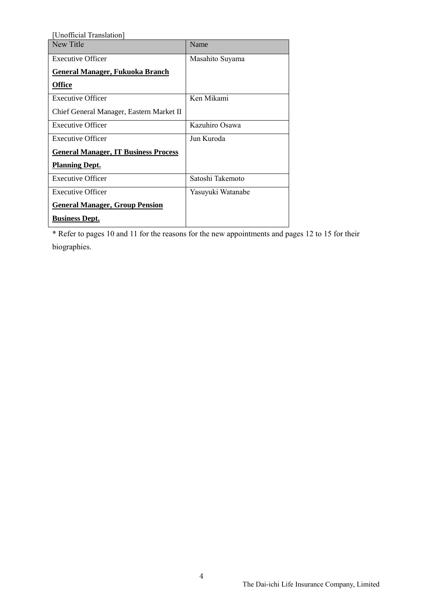| [Unofficial Translation]                    |                   |
|---------------------------------------------|-------------------|
| New Title                                   | Name              |
| <b>Executive Officer</b>                    | Masahito Suyama   |
| <b>General Manager, Fukuoka Branch</b>      |                   |
| <b>Office</b>                               |                   |
| <b>Executive Officer</b>                    | Ken Mikami        |
| Chief General Manager, Eastern Market II    |                   |
| <b>Executive Officer</b>                    | Kazuhiro Osawa    |
| <b>Executive Officer</b>                    | Jun Kuroda        |
| <b>General Manager, IT Business Process</b> |                   |
| <b>Planning Dept.</b>                       |                   |
| <b>Executive Officer</b>                    | Satoshi Takemoto  |
| <b>Executive Officer</b>                    | Yasuyuki Watanabe |
| <b>General Manager, Group Pension</b>       |                   |
| <b>Business Dept.</b>                       |                   |

\* Refer to pages 10 and 11 for the reasons for the new appointments and pages 12 to 15 for their biographies.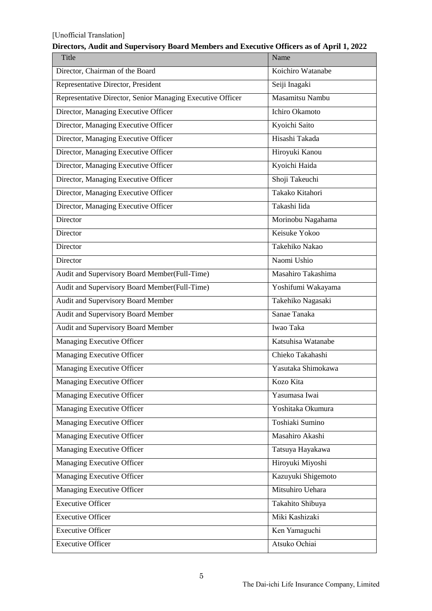| Title                                                      | Name               |
|------------------------------------------------------------|--------------------|
| Director, Chairman of the Board                            | Koichiro Watanabe  |
| Representative Director, President                         | Seiji Inagaki      |
| Representative Director, Senior Managing Executive Officer | Masamitsu Nambu    |
| Director, Managing Executive Officer                       | Ichiro Okamoto     |
| Director, Managing Executive Officer                       | Kyoichi Saito      |
| Director, Managing Executive Officer                       | Hisashi Takada     |
| Director, Managing Executive Officer                       | Hiroyuki Kanou     |
| Director, Managing Executive Officer                       | Kyoichi Haida      |
| Director, Managing Executive Officer                       | Shoji Takeuchi     |
| Director, Managing Executive Officer                       | Takako Kitahori    |
| Director, Managing Executive Officer                       | Takashi Iida       |
| Director                                                   | Morinobu Nagahama  |
| Director                                                   | Keisuke Yokoo      |
| Director                                                   | Takehiko Nakao     |
| Director                                                   | Naomi Ushio        |
| Audit and Supervisory Board Member(Full-Time)              | Masahiro Takashima |
| Audit and Supervisory Board Member(Full-Time)              | Yoshifumi Wakayama |
| Audit and Supervisory Board Member                         | Takehiko Nagasaki  |
| Audit and Supervisory Board Member                         | Sanae Tanaka       |
| Audit and Supervisory Board Member                         | Iwao Taka          |
| Managing Executive Officer                                 | Katsuhisa Watanabe |
| Managing Executive Officer                                 | Chieko Takahashi   |
| Managing Executive Officer                                 | Yasutaka Shimokawa |
| Managing Executive Officer                                 | Kozo Kita          |
| Managing Executive Officer                                 | Yasumasa Iwai      |
| Managing Executive Officer                                 | Yoshitaka Okumura  |
| Managing Executive Officer                                 | Toshiaki Sumino    |
| Managing Executive Officer                                 | Masahiro Akashi    |
| Managing Executive Officer                                 | Tatsuya Hayakawa   |
| <b>Managing Executive Officer</b>                          | Hiroyuki Miyoshi   |
| <b>Managing Executive Officer</b>                          | Kazuyuki Shigemoto |
| <b>Managing Executive Officer</b>                          | Mitsuhiro Uehara   |
| <b>Executive Officer</b>                                   | Takahito Shibuya   |
| <b>Executive Officer</b>                                   | Miki Kashizaki     |
| <b>Executive Officer</b>                                   | Ken Yamaguchi      |
| <b>Executive Officer</b>                                   | Atsuko Ochiai      |

#### **Directors, Audit and Supervisory Board Members and Executive Officers as of April 1, 2022**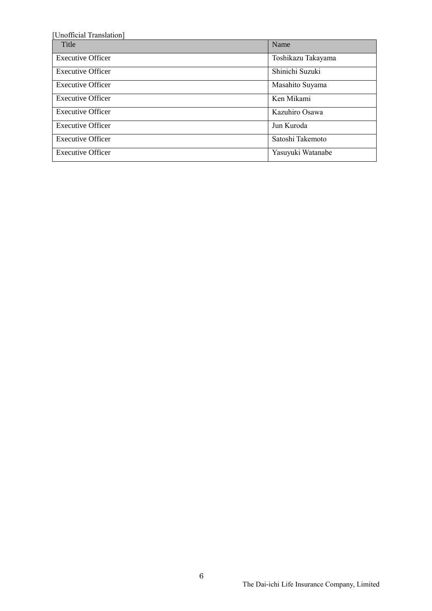| [Unofficial Translation] |                    |
|--------------------------|--------------------|
| Title                    | Name               |
| <b>Executive Officer</b> | Toshikazu Takayama |
| <b>Executive Officer</b> | Shinichi Suzuki    |
| <b>Executive Officer</b> | Masahito Suyama    |
| <b>Executive Officer</b> | Ken Mikami         |
| <b>Executive Officer</b> | Kazuhiro Osawa     |
| <b>Executive Officer</b> | Jun Kuroda         |
| <b>Executive Officer</b> | Satoshi Takemoto   |
| <b>Executive Officer</b> | Yasuyuki Watanabe  |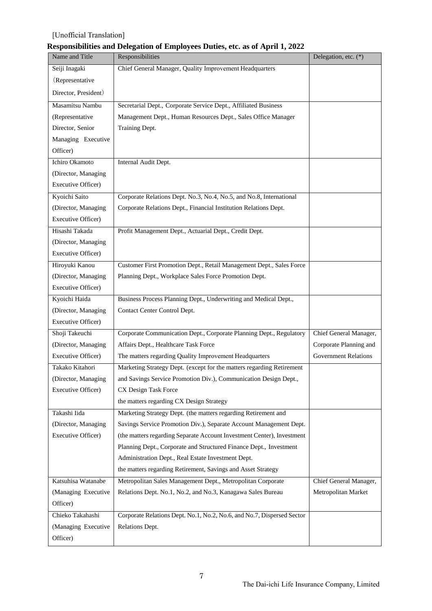# **Responsibilities and Delegation of Employees Duties, etc. as of April 1, 2022**

| Name and Title       | Responsibilities                                                       | Delegation, etc. (*)        |
|----------------------|------------------------------------------------------------------------|-----------------------------|
| Seiji Inagaki        | Chief General Manager, Quality Improvement Headquarters                |                             |
| (Representative      |                                                                        |                             |
| Director, President) |                                                                        |                             |
| Masamitsu Nambu      | Secretarial Dept., Corporate Service Dept., Affiliated Business        |                             |
| (Representative      | Management Dept., Human Resources Dept., Sales Office Manager          |                             |
| Director, Senior     | Training Dept.                                                         |                             |
| Managing Executive   |                                                                        |                             |
| Officer)             |                                                                        |                             |
| Ichiro Okamoto       | Internal Audit Dept.                                                   |                             |
| (Director, Managing  |                                                                        |                             |
| Executive Officer)   |                                                                        |                             |
| Kyoichi Saito        | Corporate Relations Dept. No.3, No.4, No.5, and No.8, International    |                             |
| (Director, Managing  | Corporate Relations Dept., Financial Institution Relations Dept.       |                             |
| Executive Officer)   |                                                                        |                             |
| Hisashi Takada       | Profit Management Dept., Actuarial Dept., Credit Dept.                 |                             |
| (Director, Managing  |                                                                        |                             |
| Executive Officer)   |                                                                        |                             |
| Hiroyuki Kanou       | Customer First Promotion Dept., Retail Management Dept., Sales Force   |                             |
| (Director, Managing  | Planning Dept., Workplace Sales Force Promotion Dept.                  |                             |
| Executive Officer)   |                                                                        |                             |
| Kyoichi Haida        | Business Process Planning Dept., Underwriting and Medical Dept.,       |                             |
| (Director, Managing  | Contact Center Control Dept.                                           |                             |
| Executive Officer)   |                                                                        |                             |
| Shoji Takeuchi       | Corporate Communication Dept., Corporate Planning Dept., Regulatory    | Chief General Manager,      |
| (Director, Managing  | Affairs Dept., Healthcare Task Force                                   | Corporate Planning and      |
| Executive Officer)   | The matters regarding Quality Improvement Headquarters                 | <b>Government Relations</b> |
| Takako Kitahori      | Marketing Strategy Dept. (except for the matters regarding Retirement  |                             |
| (Director, Managing  | and Savings Service Promotion Div.), Communication Design Dept.,       |                             |
| Executive Officer)   | CX Design Task Force                                                   |                             |
|                      | the matters regarding CX Design Strategy                               |                             |
| Takashi Iida         | Marketing Strategy Dept. (the matters regarding Retirement and         |                             |
| (Director, Managing  | Savings Service Promotion Div.), Separate Account Management Dept.     |                             |
| Executive Officer)   | (the matters regarding Separate Account Investment Center), Investment |                             |
|                      | Planning Dept., Corporate and Structured Finance Dept., Investment     |                             |
|                      | Administration Dept., Real Estate Investment Dept.                     |                             |
|                      | the matters regarding Retirement, Savings and Asset Strategy           |                             |
| Katsuhisa Watanabe   | Metropolitan Sales Management Dept., Metropolitan Corporate            | Chief General Manager,      |
| (Managing Executive  | Relations Dept. No.1, No.2, and No.3, Kanagawa Sales Bureau            | Metropolitan Market         |
| Officer)             |                                                                        |                             |
| Chieko Takahashi     | Corporate Relations Dept. No.1, No.2, No.6, and No.7, Dispersed Sector |                             |
| (Managing Executive  | Relations Dept.                                                        |                             |
| Officer)             |                                                                        |                             |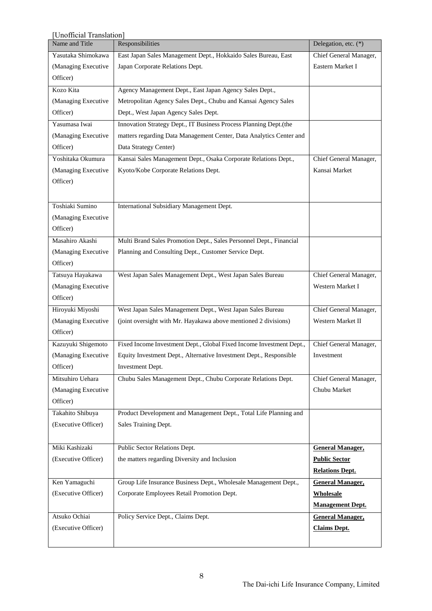| [Unofficial Translation] |                                                                      |                         |
|--------------------------|----------------------------------------------------------------------|-------------------------|
| Name and Title           | Responsibilities                                                     | Delegation, etc. (*)    |
| Yasutaka Shimokawa       | East Japan Sales Management Dept., Hokkaido Sales Bureau, East       | Chief General Manager,  |
| (Managing Executive      | Japan Corporate Relations Dept.                                      | Eastern Market I        |
| Officer)                 |                                                                      |                         |
| Kozo Kita                | Agency Management Dept., East Japan Agency Sales Dept.,              |                         |
| (Managing Executive      | Metropolitan Agency Sales Dept., Chubu and Kansai Agency Sales       |                         |
| Officer)                 | Dept., West Japan Agency Sales Dept.                                 |                         |
| Yasumasa Iwai            | Innovation Strategy Dept., IT Business Process Planning Dept.(the    |                         |
| (Managing Executive      | matters regarding Data Management Center, Data Analytics Center and  |                         |
| Officer)                 | Data Strategy Center)                                                |                         |
| Yoshitaka Okumura        | Kansai Sales Management Dept., Osaka Corporate Relations Dept.,      | Chief General Manager,  |
| (Managing Executive      | Kyoto/Kobe Corporate Relations Dept.                                 | Kansai Market           |
| Officer)                 |                                                                      |                         |
|                          |                                                                      |                         |
| Toshiaki Sumino          | International Subsidiary Management Dept.                            |                         |
| (Managing Executive      |                                                                      |                         |
| Officer)                 |                                                                      |                         |
| Masahiro Akashi          | Multi Brand Sales Promotion Dept., Sales Personnel Dept., Financial  |                         |
| (Managing Executive      | Planning and Consulting Dept., Customer Service Dept.                |                         |
| Officer)                 |                                                                      |                         |
| Tatsuya Hayakawa         | West Japan Sales Management Dept., West Japan Sales Bureau           | Chief General Manager,  |
| (Managing Executive      |                                                                      | Western Market I        |
| Officer)                 |                                                                      |                         |
|                          |                                                                      |                         |
| Hiroyuki Miyoshi         | West Japan Sales Management Dept., West Japan Sales Bureau           | Chief General Manager,  |
| (Managing Executive      | (joint oversight with Mr. Hayakawa above mentioned 2 divisions)      | Western Market II       |
| Officer)                 |                                                                      |                         |
| Kazuyuki Shigemoto       | Fixed Income Investment Dept., Global Fixed Income Investment Dept., | Chief General Manager,  |
| (Managing Executive      | Equity Investment Dept., Alternative Investment Dept., Responsible   | Investment              |
| Officer)                 | Investment Dept.                                                     |                         |
| Mitsuhiro Uehara         | Chubu Sales Management Dept., Chubu Corporate Relations Dept.        | Chief General Manager,  |
| (Managing Executive      |                                                                      | Chubu Market            |
| Officer)                 |                                                                      |                         |
| Takahito Shibuya         | Product Development and Management Dept., Total Life Planning and    |                         |
| (Executive Officer)      | Sales Training Dept.                                                 |                         |
|                          |                                                                      |                         |
| Miki Kashizaki           | Public Sector Relations Dept.                                        | <b>General Manager,</b> |
| (Executive Officer)      | the matters regarding Diversity and Inclusion                        | <b>Public Sector</b>    |
|                          |                                                                      | <b>Relations Dept.</b>  |
| Ken Yamaguchi            | Group Life Insurance Business Dept., Wholesale Management Dept.,     | <b>General Manager,</b> |
| (Executive Officer)      | Corporate Employees Retail Promotion Dept.                           | <b>Wholesale</b>        |
|                          |                                                                      | <b>Management Dept.</b> |
| Atsuko Ochiai            | Policy Service Dept., Claims Dept.                                   | <b>General Manager,</b> |
| (Executive Officer)      |                                                                      | <b>Claims Dept.</b>     |
|                          |                                                                      |                         |
|                          |                                                                      |                         |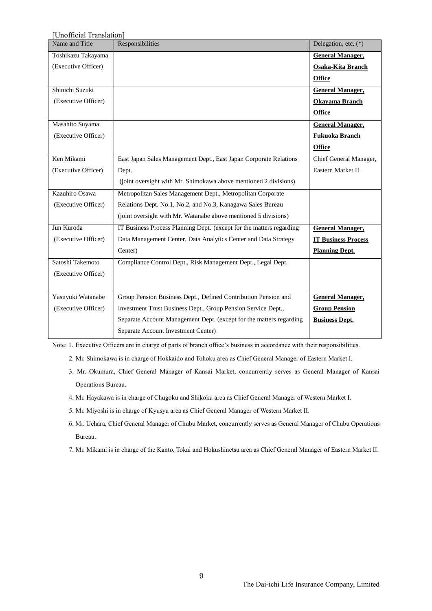| Unofficial Translation] |                                                                      |                            |
|-------------------------|----------------------------------------------------------------------|----------------------------|
| Name and Title          | Responsibilities                                                     | Delegation, etc. (*)       |
| Toshikazu Takayama      |                                                                      | <b>General Manager,</b>    |
| (Executive Officer)     |                                                                      | Osaka-Kita Branch          |
|                         |                                                                      | <b>Office</b>              |
| Shinichi Suzuki         |                                                                      | <b>General Manager,</b>    |
| (Executive Officer)     |                                                                      | <b>Okayama Branch</b>      |
|                         |                                                                      | <b>Office</b>              |
| Masahito Suyama         |                                                                      | <b>General Manager,</b>    |
| (Executive Officer)     |                                                                      | <b>Fukuoka Branch</b>      |
|                         |                                                                      | <b>Office</b>              |
| Ken Mikami              | East Japan Sales Management Dept., East Japan Corporate Relations    | Chief General Manager,     |
| (Executive Officer)     | Dept.                                                                | Eastern Market II          |
|                         | (joint oversight with Mr. Shimokawa above mentioned 2 divisions)     |                            |
| Kazuhiro Osawa          | Metropolitan Sales Management Dept., Metropolitan Corporate          |                            |
| (Executive Officer)     | Relations Dept. No.1, No.2, and No.3, Kanagawa Sales Bureau          |                            |
|                         | (joint oversight with Mr. Watanabe above mentioned 5 divisions)      |                            |
| Jun Kuroda              | IT Business Process Planning Dept. (except for the matters regarding | <b>General Manager,</b>    |
| (Executive Officer)     | Data Management Center, Data Analytics Center and Data Strategy      | <b>IT Business Process</b> |
|                         | Center)                                                              | <b>Planning Dept.</b>      |
| Satoshi Takemoto        | Compliance Control Dept., Risk Management Dept., Legal Dept.         |                            |
| (Executive Officer)     |                                                                      |                            |
|                         |                                                                      |                            |
| Yasuyuki Watanabe       | Group Pension Business Dept., Defined Contribution Pension and       | <b>General Manager,</b>    |
| (Executive Officer)     | Investment Trust Business Dept., Group Pension Service Dept.,        | <b>Group Pension</b>       |
|                         | Separate Account Management Dept. (except for the matters regarding  | <b>Business Dept.</b>      |
|                         | Separate Account Investment Center)                                  |                            |

Note: 1. Executive Officers are in charge of parts of branch office's business in accordance with their responsibilities.

- 2. Mr. Shimokawa is in charge of Hokkaido and Tohoku area as Chief General Manager of Eastern Market I.
- 3. Mr. Okumura, Chief General Manager of Kansai Market, concurrently serves as General Manager of Kansai Operations Bureau.
- 4. Mr. Hayakawa is in charge of Chugoku and Shikoku area as Chief General Manager of Western Market I.
- 5. Mr. Miyoshi is in charge of Kyusyu area as Chief General Manager of Western Market II.
- 6. Mr. Uehara, Chief General Manager of Chubu Market, concurrently serves as General Manager of Chubu Operations Bureau.
- 7. Mr. Mikami is in charge of the Kanto, Tokai and Hokushinetsu area as Chief General Manager of Eastern Market II.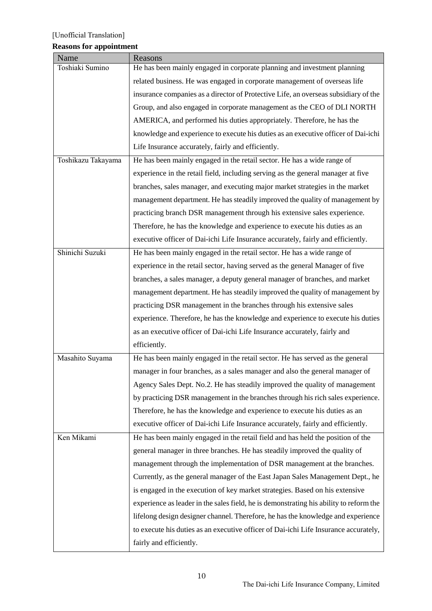# **Reasons for appointment**

| Name               | Reasons                                                                                |
|--------------------|----------------------------------------------------------------------------------------|
| Toshiaki Sumino    | He has been mainly engaged in corporate planning and investment planning               |
|                    | related business. He was engaged in corporate management of overseas life              |
|                    | insurance companies as a director of Protective Life, an overseas subsidiary of the    |
|                    | Group, and also engaged in corporate management as the CEO of DLI NORTH                |
|                    | AMERICA, and performed his duties appropriately. Therefore, he has the                 |
|                    | knowledge and experience to execute his duties as an executive officer of Dai-ichi     |
|                    | Life Insurance accurately, fairly and efficiently.                                     |
| Toshikazu Takayama | He has been mainly engaged in the retail sector. He has a wide range of                |
|                    | experience in the retail field, including serving as the general manager at five       |
|                    | branches, sales manager, and executing major market strategies in the market           |
|                    | management department. He has steadily improved the quality of management by           |
|                    | practicing branch DSR management through his extensive sales experience.               |
|                    | Therefore, he has the knowledge and experience to execute his duties as an             |
|                    | executive officer of Dai-ichi Life Insurance accurately, fairly and efficiently.       |
| Shinichi Suzuki    | He has been mainly engaged in the retail sector. He has a wide range of                |
|                    | experience in the retail sector, having served as the general Manager of five          |
|                    | branches, a sales manager, a deputy general manager of branches, and market            |
|                    | management department. He has steadily improved the quality of management by           |
|                    | practicing DSR management in the branches through his extensive sales                  |
|                    | experience. Therefore, he has the knowledge and experience to execute his duties       |
|                    | as an executive officer of Dai-ichi Life Insurance accurately, fairly and              |
|                    | efficiently.                                                                           |
| Masahito Suyama    | He has been mainly engaged in the retail sector. He has served as the general          |
|                    | manager in four branches, as a sales manager and also the general manager of           |
|                    | Agency Sales Dept. No.2. He has steadily improved the quality of management            |
|                    | by practicing DSR management in the branches through his rich sales experience.        |
|                    | Therefore, he has the knowledge and experience to execute his duties as an             |
|                    | executive officer of Dai-ichi Life Insurance accurately, fairly and efficiently.       |
| Ken Mikami         | He has been mainly engaged in the retail field and has held the position of the        |
|                    | general manager in three branches. He has steadily improved the quality of             |
|                    | management through the implementation of DSR management at the branches.               |
|                    | Currently, as the general manager of the East Japan Sales Management Dept., he         |
|                    | is engaged in the execution of key market strategies. Based on his extensive           |
|                    | experience as leader in the sales field, he is demonstrating his ability to reform the |
|                    | lifelong design designer channel. Therefore, he has the knowledge and experience       |
|                    | to execute his duties as an executive officer of Dai-ichi Life Insurance accurately,   |
|                    | fairly and efficiently.                                                                |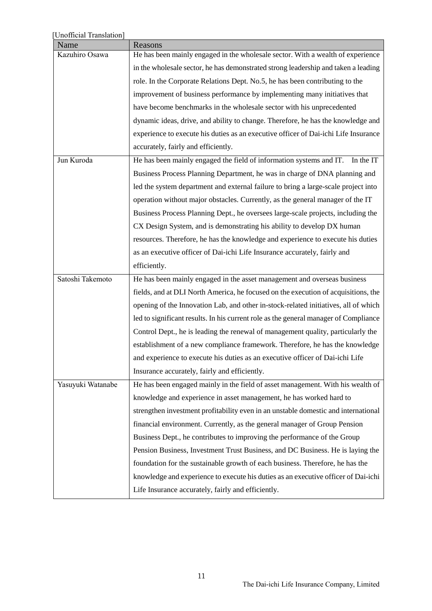| [Unofficial Translation] |                                                                                      |
|--------------------------|--------------------------------------------------------------------------------------|
| Name                     | Reasons                                                                              |
| Kazuhiro Osawa           | He has been mainly engaged in the wholesale sector. With a wealth of experience      |
|                          | in the wholesale sector, he has demonstrated strong leadership and taken a leading   |
|                          | role. In the Corporate Relations Dept. No.5, he has been contributing to the         |
|                          | improvement of business performance by implementing many initiatives that            |
|                          | have become benchmarks in the wholesale sector with his unprecedented                |
|                          | dynamic ideas, drive, and ability to change. Therefore, he has the knowledge and     |
|                          | experience to execute his duties as an executive officer of Dai-ichi Life Insurance  |
|                          | accurately, fairly and efficiently.                                                  |
| Jun Kuroda               | He has been mainly engaged the field of information systems and IT.<br>In the IT     |
|                          | Business Process Planning Department, he was in charge of DNA planning and           |
|                          | led the system department and external failure to bring a large-scale project into   |
|                          | operation without major obstacles. Currently, as the general manager of the IT       |
|                          | Business Process Planning Dept., he oversees large-scale projects, including the     |
|                          | CX Design System, and is demonstrating his ability to develop DX human               |
|                          | resources. Therefore, he has the knowledge and experience to execute his duties      |
|                          | as an executive officer of Dai-ichi Life Insurance accurately, fairly and            |
|                          | efficiently.                                                                         |
| Satoshi Takemoto         | He has been mainly engaged in the asset management and overseas business             |
|                          | fields, and at DLI North America, he focused on the execution of acquisitions, the   |
|                          | opening of the Innovation Lab, and other in-stock-related initiatives, all of which  |
|                          | led to significant results. In his current role as the general manager of Compliance |
|                          | Control Dept., he is leading the renewal of management quality, particularly the     |
|                          | establishment of a new compliance framework. Therefore, he has the knowledge         |
|                          | and experience to execute his duties as an executive officer of Dai-ichi Life        |
|                          | Insurance accurately, fairly and efficiently.                                        |
| Yasuyuki Watanabe        | He has been engaged mainly in the field of asset management. With his wealth of      |
|                          | knowledge and experience in asset management, he has worked hard to                  |
|                          | strengthen investment profitability even in an unstable domestic and international   |
|                          | financial environment. Currently, as the general manager of Group Pension            |
|                          | Business Dept., he contributes to improving the performance of the Group             |
|                          | Pension Business, Investment Trust Business, and DC Business. He is laying the       |
|                          | foundation for the sustainable growth of each business. Therefore, he has the        |
|                          | knowledge and experience to execute his duties as an executive officer of Dai-ichi   |
|                          | Life Insurance accurately, fairly and efficiently.                                   |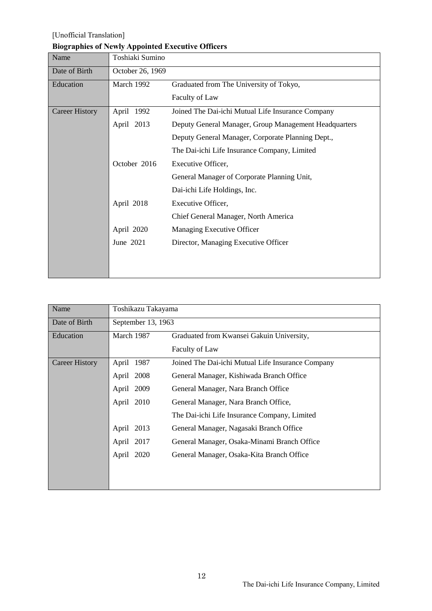# **Biographies of Newly Appointed Executive Officers**

| Name                  | Toshiaki Sumino  |                                                       |
|-----------------------|------------------|-------------------------------------------------------|
| Date of Birth         | October 26, 1969 |                                                       |
| Education             | March 1992       | Graduated from The University of Tokyo,               |
|                       |                  | Faculty of Law                                        |
| <b>Career History</b> | April 1992       | Joined The Dai-ichi Mutual Life Insurance Company     |
|                       | April 2013       | Deputy General Manager, Group Management Headquarters |
|                       |                  | Deputy General Manager, Corporate Planning Dept.,     |
|                       |                  | The Dai-ichi Life Insurance Company, Limited          |
|                       | October 2016     | Executive Officer,                                    |
|                       |                  | General Manager of Corporate Planning Unit,           |
|                       |                  | Dai-ichi Life Holdings, Inc.                          |
|                       | April 2018       | Executive Officer,                                    |
|                       |                  | Chief General Manager, North America                  |
|                       | April 2020       | Managing Executive Officer                            |
|                       | June 2021        | Director, Managing Executive Officer                  |
|                       |                  |                                                       |
|                       |                  |                                                       |

| Name           | Toshikazu Takayama |                                                   |
|----------------|--------------------|---------------------------------------------------|
| Date of Birth  | September 13, 1963 |                                                   |
| Education      | March 1987         | Graduated from Kwansei Gakuin University,         |
|                |                    | Faculty of Law                                    |
| Career History | April 1987         | Joined The Dai-ichi Mutual Life Insurance Company |
|                | April 2008         | General Manager, Kishiwada Branch Office          |
|                | April 2009         | General Manager, Nara Branch Office               |
|                | April 2010         | General Manager, Nara Branch Office,              |
|                |                    | The Dai-ichi Life Insurance Company, Limited      |
|                | April 2013         | General Manager, Nagasaki Branch Office           |
|                | April 2017         | General Manager, Osaka-Minami Branch Office       |
|                | April 2020         | General Manager, Osaka-Kita Branch Office         |
|                |                    |                                                   |
|                |                    |                                                   |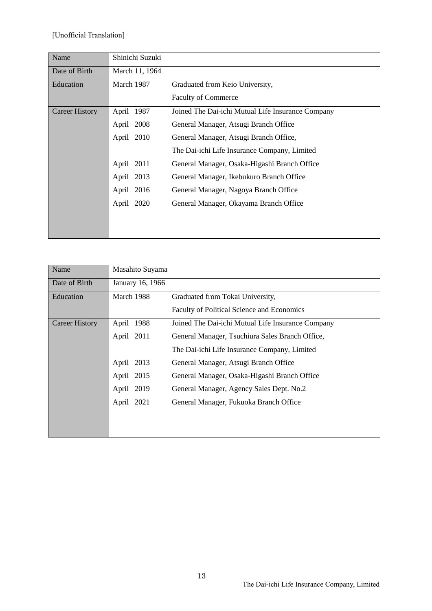| Name                  | Shinichi Suzuki |                                                   |
|-----------------------|-----------------|---------------------------------------------------|
| Date of Birth         | March 11, 1964  |                                                   |
| Education             | March 1987      | Graduated from Keio University,                   |
|                       |                 | <b>Faculty of Commerce</b>                        |
| <b>Career History</b> | April 1987      | Joined The Dai-ichi Mutual Life Insurance Company |
|                       | April 2008      | General Manager, Atsugi Branch Office             |
|                       | April 2010      | General Manager, Atsugi Branch Office,            |
|                       |                 | The Dai-ichi Life Insurance Company, Limited      |
|                       | April 2011      | General Manager, Osaka-Higashi Branch Office      |
|                       | April 2013      | General Manager, Ikebukuro Branch Office          |
|                       | April 2016      | General Manager, Nagoya Branch Office             |
|                       | April 2020      | General Manager, Okayama Branch Office            |
|                       |                 |                                                   |
|                       |                 |                                                   |

| Name                  | Masahito Suyama  |                                                   |
|-----------------------|------------------|---------------------------------------------------|
| Date of Birth         | January 16, 1966 |                                                   |
| Education             | March 1988       | Graduated from Tokai University,                  |
|                       |                  | Faculty of Political Science and Economics        |
| <b>Career History</b> | April 1988       | Joined The Dai-ichi Mutual Life Insurance Company |
|                       | April 2011       | General Manager, Tsuchiura Sales Branch Office,   |
|                       |                  | The Dai-ichi Life Insurance Company, Limited      |
|                       | April 2013       | General Manager, Atsugi Branch Office             |
|                       | April 2015       | General Manager, Osaka-Higashi Branch Office      |
|                       | April 2019       | General Manager, Agency Sales Dept. No.2          |
|                       | April 2021       | General Manager, Fukuoka Branch Office            |
|                       |                  |                                                   |
|                       |                  |                                                   |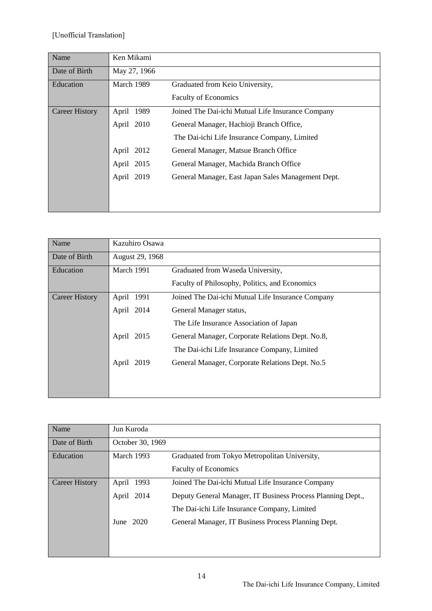| Name                  | Ken Mikami    |                                                    |
|-----------------------|---------------|----------------------------------------------------|
| Date of Birth         | May 27, 1966  |                                                    |
| Education             | March 1989    | Graduated from Keio University,                    |
|                       |               | <b>Faculty of Economics</b>                        |
| <b>Career History</b> | 1989<br>April | Joined The Dai-ichi Mutual Life Insurance Company  |
|                       | April 2010    | General Manager, Hachioji Branch Office,           |
|                       |               | The Dai-ichi Life Insurance Company, Limited       |
|                       | April 2012    | General Manager, Matsue Branch Office              |
|                       | April 2015    | General Manager, Machida Branch Office             |
|                       | April 2019    | General Manager, East Japan Sales Management Dept. |
|                       |               |                                                    |
|                       |               |                                                    |

| Name                  | Kazuhiro Osawa  |                                                   |
|-----------------------|-----------------|---------------------------------------------------|
| Date of Birth         | August 29, 1968 |                                                   |
| Education             | March 1991      | Graduated from Waseda University,                 |
|                       |                 | Faculty of Philosophy, Politics, and Economics    |
| <b>Career History</b> | April 1991      | Joined The Dai-ichi Mutual Life Insurance Company |
|                       | April 2014      | General Manager status,                           |
|                       |                 | The Life Insurance Association of Japan           |
|                       | April<br>2015   | General Manager, Corporate Relations Dept. No.8,  |
|                       |                 | The Dai-ichi Life Insurance Company, Limited      |
|                       | April<br>2019   | General Manager, Corporate Relations Dept. No.5   |
|                       |                 |                                                   |
|                       |                 |                                                   |

| Name           | Jun Kuroda       |                                                             |
|----------------|------------------|-------------------------------------------------------------|
| Date of Birth  | October 30, 1969 |                                                             |
| Education      | March 1993       | Graduated from Tokyo Metropolitan University,               |
|                |                  | <b>Faculty of Economics</b>                                 |
| Career History | April 1993       | Joined The Dai-ichi Mutual Life Insurance Company           |
|                | April 2014       | Deputy General Manager, IT Business Process Planning Dept., |
|                |                  | The Dai-ichi Life Insurance Company, Limited                |
|                | June $2020$      | General Manager, IT Business Process Planning Dept.         |
|                |                  |                                                             |
|                |                  |                                                             |